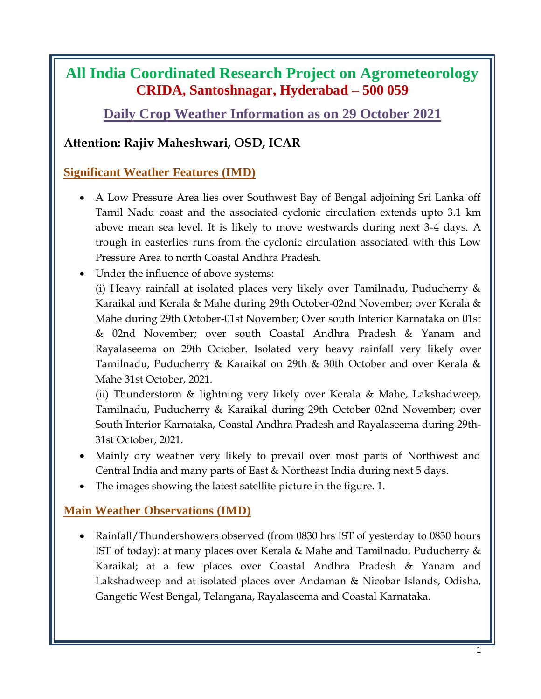## **All India Coordinated Research Project on Agrometeorology CRIDA, Santoshnagar, Hyderabad – 500 059**

**Daily Crop Weather Information as on 29 October 2021**

### **Attention: Rajiv Maheshwari, OSD, ICAR**

### **Significant Weather Features (IMD)**

- A Low Pressure Area lies over Southwest Bay of Bengal adjoining Sri Lanka off Tamil Nadu coast and the associated cyclonic circulation extends upto 3.1 km above mean sea level. It is likely to move westwards during next 3-4 days. A trough in easterlies runs from the cyclonic circulation associated with this Low Pressure Area to north Coastal Andhra Pradesh.
- Under the influence of above systems:

(i) Heavy rainfall at isolated places very likely over Tamilnadu, Puducherry & Karaikal and Kerala & Mahe during 29th October-02nd November; over Kerala & Mahe during 29th October-01st November; Over south Interior Karnataka on 01st & 02nd November; over south Coastal Andhra Pradesh & Yanam and Rayalaseema on 29th October. Isolated very heavy rainfall very likely over Tamilnadu, Puducherry & Karaikal on 29th & 30th October and over Kerala & Mahe 31st October, 2021.

(ii) Thunderstorm & lightning very likely over Kerala & Mahe, Lakshadweep, Tamilnadu, Puducherry & Karaikal during 29th October 02nd November; over South Interior Karnataka, Coastal Andhra Pradesh and Rayalaseema during 29th-31st October, 2021.

- Mainly dry weather very likely to prevail over most parts of Northwest and Central India and many parts of East & Northeast India during next 5 days.
- The images showing the latest satellite picture in the figure. 1.

### **Main Weather Observations (IMD)**

• Rainfall/Thundershowers observed (from 0830 hrs IST of yesterday to 0830 hours IST of today): at many places over Kerala & Mahe and Tamilnadu, Puducherry  $\&$ Karaikal; at a few places over Coastal Andhra Pradesh & Yanam and Lakshadweep and at isolated places over Andaman & Nicobar Islands, Odisha, Gangetic West Bengal, Telangana, Rayalaseema and Coastal Karnataka.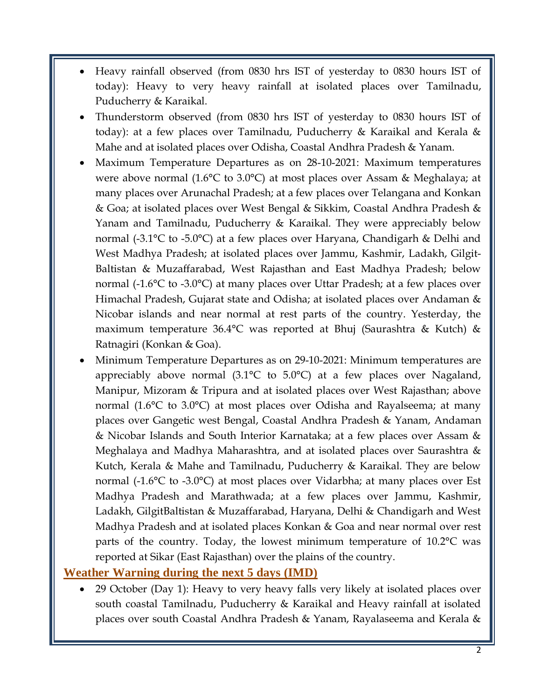- Heavy rainfall observed (from 0830 hrs IST of yesterday to 0830 hours IST of today): Heavy to very heavy rainfall at isolated places over Tamilnadu, Puducherry & Karaikal.
- Thunderstorm observed (from 0830 hrs IST of yesterday to 0830 hours IST of today): at a few places over Tamilnadu, Puducherry & Karaikal and Kerala & Mahe and at isolated places over Odisha, Coastal Andhra Pradesh & Yanam.
- Maximum Temperature Departures as on 28-10-2021: Maximum temperatures were above normal (1.6°C to 3.0°C) at most places over Assam & Meghalaya; at many places over Arunachal Pradesh; at a few places over Telangana and Konkan & Goa; at isolated places over West Bengal & Sikkim, Coastal Andhra Pradesh & Yanam and Tamilnadu, Puducherry & Karaikal. They were appreciably below normal (-3.1°C to -5.0°C) at a few places over Haryana, Chandigarh & Delhi and West Madhya Pradesh; at isolated places over Jammu, Kashmir, Ladakh, Gilgit-Baltistan & Muzaffarabad, West Rajasthan and East Madhya Pradesh; below normal (-1.6°C to -3.0°C) at many places over Uttar Pradesh; at a few places over Himachal Pradesh, Gujarat state and Odisha; at isolated places over Andaman & Nicobar islands and near normal at rest parts of the country. Yesterday, the maximum temperature 36.4°C was reported at Bhuj (Saurashtra & Kutch) & Ratnagiri (Konkan & Goa).
- Minimum Temperature Departures as on 29-10-2021: Minimum temperatures are appreciably above normal (3.1°C to 5.0°C) at a few places over Nagaland, Manipur, Mizoram & Tripura and at isolated places over West Rajasthan; above normal (1.6°C to 3.0°C) at most places over Odisha and Rayalseema; at many places over Gangetic west Bengal, Coastal Andhra Pradesh & Yanam, Andaman & Nicobar Islands and South Interior Karnataka; at a few places over Assam & Meghalaya and Madhya Maharashtra, and at isolated places over Saurashtra & Kutch, Kerala & Mahe and Tamilnadu, Puducherry & Karaikal. They are below normal (-1.6°C to -3.0°C) at most places over Vidarbha; at many places over Est Madhya Pradesh and Marathwada; at a few places over Jammu, Kashmir, Ladakh, GilgitBaltistan & Muzaffarabad, Haryana, Delhi & Chandigarh and West Madhya Pradesh and at isolated places Konkan & Goa and near normal over rest parts of the country. Today, the lowest minimum temperature of 10.2°C was reported at Sikar (East Rajasthan) over the plains of the country.

### **Weather Warning during the next 5 days (IMD)**

 29 October (Day 1): Heavy to very heavy falls very likely at isolated places over south coastal Tamilnadu, Puducherry & Karaikal and Heavy rainfall at isolated places over south Coastal Andhra Pradesh & Yanam, Rayalaseema and Kerala &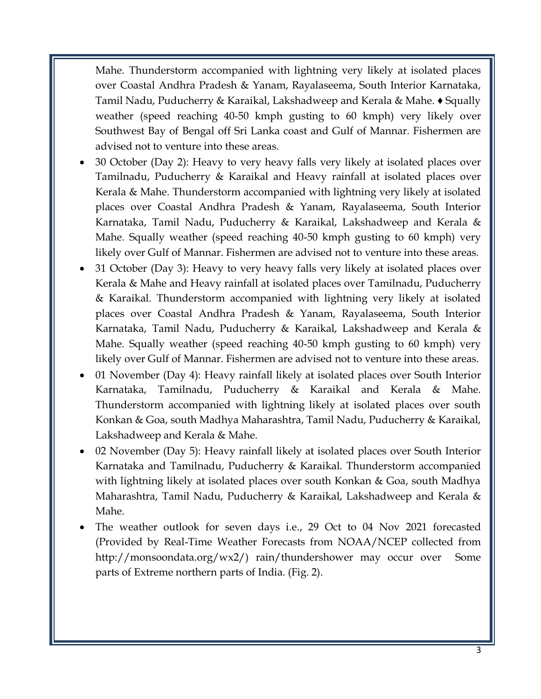Mahe. Thunderstorm accompanied with lightning very likely at isolated places over Coastal Andhra Pradesh & Yanam, Rayalaseema, South Interior Karnataka, Tamil Nadu, Puducherry & Karaikal, Lakshadweep and Kerala & Mahe. ♦ Squally weather (speed reaching 40-50 kmph gusting to 60 kmph) very likely over Southwest Bay of Bengal off Sri Lanka coast and Gulf of Mannar. Fishermen are advised not to venture into these areas.

- 30 October (Day 2): Heavy to very heavy falls very likely at isolated places over Tamilnadu, Puducherry & Karaikal and Heavy rainfall at isolated places over Kerala & Mahe. Thunderstorm accompanied with lightning very likely at isolated places over Coastal Andhra Pradesh & Yanam, Rayalaseema, South Interior Karnataka, Tamil Nadu, Puducherry & Karaikal, Lakshadweep and Kerala & Mahe. Squally weather (speed reaching 40-50 kmph gusting to 60 kmph) very likely over Gulf of Mannar. Fishermen are advised not to venture into these areas.
- 31 October (Day 3): Heavy to very heavy falls very likely at isolated places over Kerala & Mahe and Heavy rainfall at isolated places over Tamilnadu, Puducherry & Karaikal. Thunderstorm accompanied with lightning very likely at isolated places over Coastal Andhra Pradesh & Yanam, Rayalaseema, South Interior Karnataka, Tamil Nadu, Puducherry & Karaikal, Lakshadweep and Kerala & Mahe. Squally weather (speed reaching 40-50 kmph gusting to 60 kmph) very likely over Gulf of Mannar. Fishermen are advised not to venture into these areas.
- 01 November (Day 4): Heavy rainfall likely at isolated places over South Interior Karnataka, Tamilnadu, Puducherry & Karaikal and Kerala & Mahe. Thunderstorm accompanied with lightning likely at isolated places over south Konkan & Goa, south Madhya Maharashtra, Tamil Nadu, Puducherry & Karaikal, Lakshadweep and Kerala & Mahe.
- 02 November (Day 5): Heavy rainfall likely at isolated places over South Interior Karnataka and Tamilnadu, Puducherry & Karaikal. Thunderstorm accompanied with lightning likely at isolated places over south Konkan & Goa, south Madhya Maharashtra, Tamil Nadu, Puducherry & Karaikal, Lakshadweep and Kerala & Mahe.
- The weather outlook for seven days i.e., 29 Oct to 04 Nov 2021 forecasted (Provided by Real-Time Weather Forecasts from NOAA/NCEP collected from http://monsoondata.org/wx2/) rain/thundershower may occur over Some parts of Extreme northern parts of India. (Fig. 2).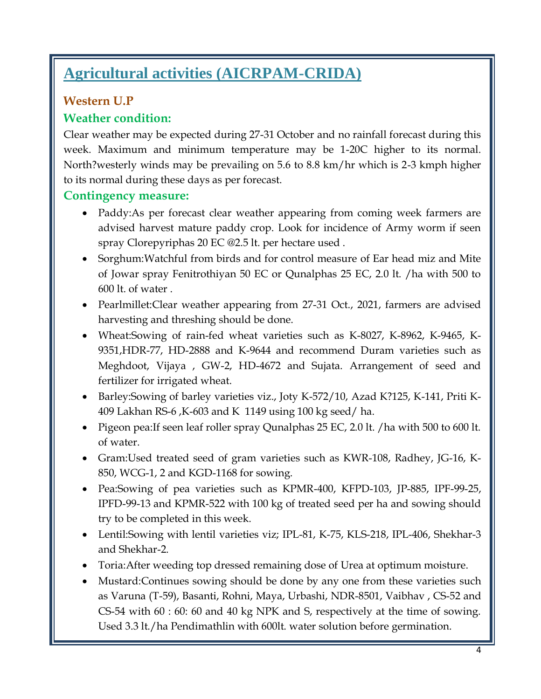# **Agricultural activities (AICRPAM-CRIDA)**

## **Western U.P**

### **Weather condition:**

Clear weather may be expected during 27-31 October and no rainfall forecast during this week. Maximum and minimum temperature may be 1-20C higher to its normal. North?westerly winds may be prevailing on 5.6 to 8.8 km/hr which is 2-3 kmph higher to its normal during these days as per forecast.

### **Contingency measure:**

- Paddy:As per forecast clear weather appearing from coming week farmers are advised harvest mature paddy crop. Look for incidence of Army worm if seen spray Clorepyriphas 20 EC @2.5 lt. per hectare used .
- Sorghum:Watchful from birds and for control measure of Ear head miz and Mite of Jowar spray Fenitrothiyan 50 EC or Qunalphas 25 EC, 2.0 lt. /ha with 500 to 600 lt. of water .
- Pearlmillet:Clear weather appearing from 27-31 Oct., 2021, farmers are advised harvesting and threshing should be done.
- Wheat:Sowing of rain-fed wheat varieties such as K-8027, K-8962, K-9465, K-9351,HDR-77, HD-2888 and K-9644 and recommend Duram varieties such as Meghdoot, Vijaya , GW-2, HD-4672 and Sujata. Arrangement of seed and fertilizer for irrigated wheat.
- Barley:Sowing of barley varieties viz., Joty K-572/10, Azad K?125, K-141, Priti K-409 Lakhan RS-6 ,K-603 and K 1149 using 100 kg seed/ ha.
- Pigeon pea: If seen leaf roller spray Qunalphas 25 EC, 2.0 lt. / ha with 500 to 600 lt. of water.
- Gram:Used treated seed of gram varieties such as KWR-108, Radhey, JG-16, K-850, WCG-1, 2 and KGD-1168 for sowing.
- Pea:Sowing of pea varieties such as KPMR-400, KFPD-103, JP-885, IPF-99-25, IPFD-99-13 and KPMR-522 with 100 kg of treated seed per ha and sowing should try to be completed in this week.
- Lentil:Sowing with lentil varieties viz; IPL-81, K-75, KLS-218, IPL-406, Shekhar-3 and Shekhar-2.
- Toria:After weeding top dressed remaining dose of Urea at optimum moisture.
- Mustard: Continues sowing should be done by any one from these varieties such as Varuna (T-59), Basanti, Rohni, Maya, Urbashi, NDR-8501, Vaibhav , CS-52 and CS-54 with 60 : 60: 60 and 40 kg NPK and S, respectively at the time of sowing. Used 3.3 lt./ha Pendimathlin with 600lt. water solution before germination.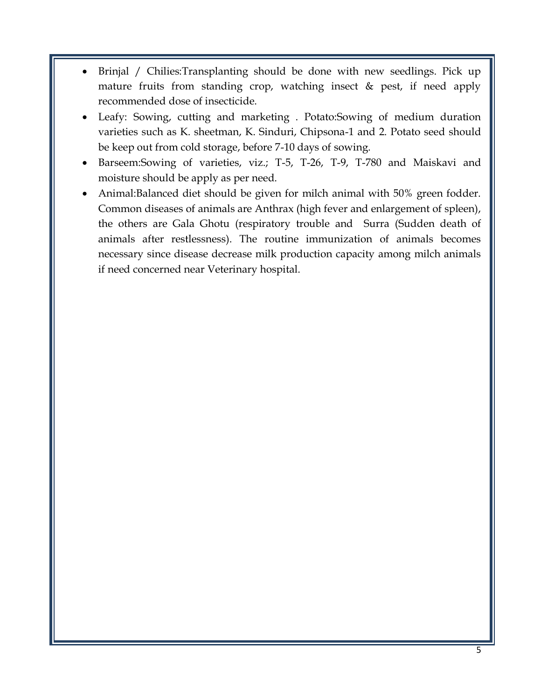- Brinjal / Chilies:Transplanting should be done with new seedlings. Pick up mature fruits from standing crop, watching insect & pest, if need apply recommended dose of insecticide.
- Leafy: Sowing, cutting and marketing . Potato:Sowing of medium duration varieties such as K. sheetman, K. Sinduri, Chipsona-1 and 2. Potato seed should be keep out from cold storage, before 7-10 days of sowing.
- Barseem:Sowing of varieties, viz.; T-5, T-26, T-9, T-780 and Maiskavi and moisture should be apply as per need.
- Animal:Balanced diet should be given for milch animal with 50% green fodder. Common diseases of animals are Anthrax (high fever and enlargement of spleen), the others are Gala Ghotu (respiratory trouble and Surra (Sudden death of animals after restlessness). The routine immunization of animals becomes necessary since disease decrease milk production capacity among milch animals if need concerned near Veterinary hospital.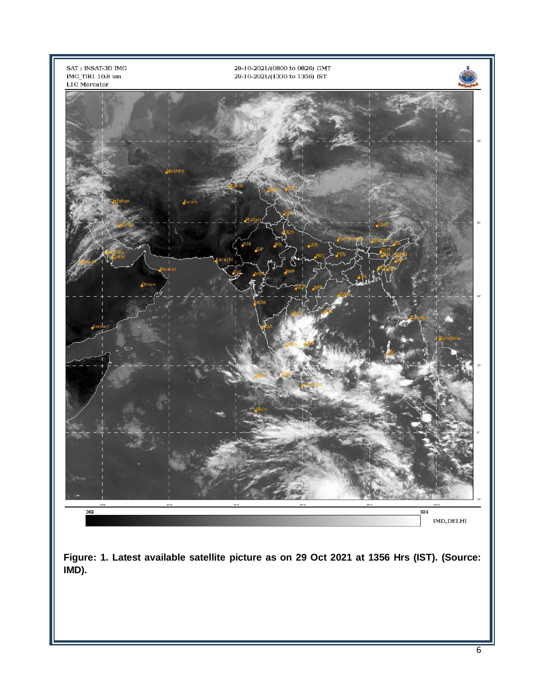

**Figure: 1. Latest available satellite picture as on 29 Oct 2021 at 1356 Hrs (IST). (Source: IMD).**